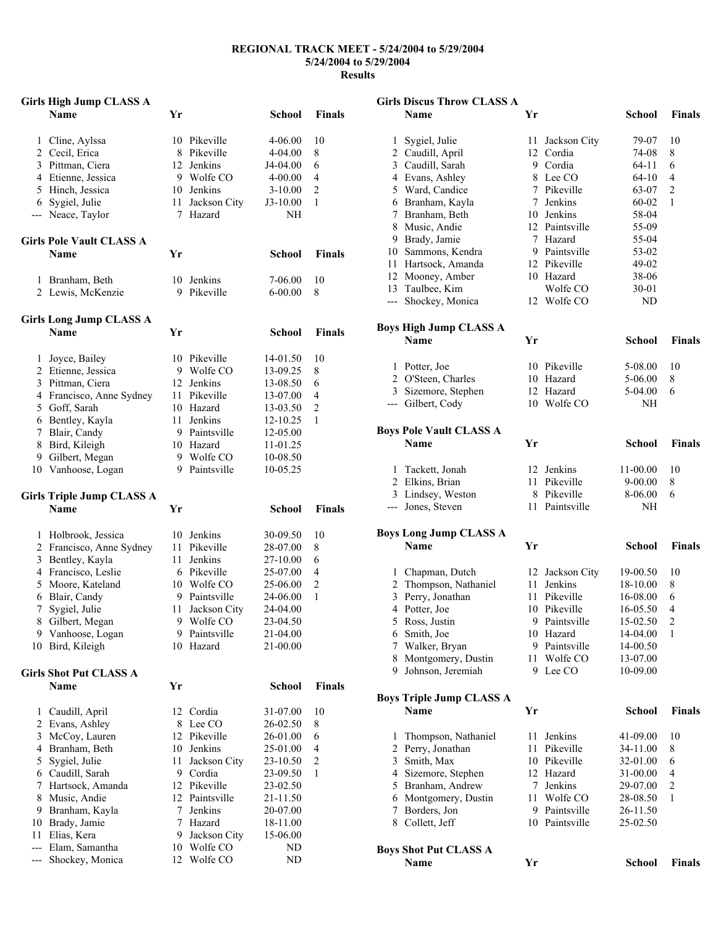## **REGIONAL TRACK MEET - 5/24/2004 to 5/29/2004 5/24/2004 to 5/29/2004 Results**

|     | <b>Girls High Jump CLASS A</b>       |        |                           |                  |                |
|-----|--------------------------------------|--------|---------------------------|------------------|----------------|
|     | <b>Name</b>                          | Yr     |                           | <b>School</b>    | <b>Finals</b>  |
| 1   | Cline, Aylssa                        |        | 10 Pikeville              | 4-06.00          | 10             |
|     | 2 Cecil, Erica                       |        | 8 Pikeville               | 4-04.00          | 8              |
|     | 3 Pittman, Ciera                     |        | 12 Jenkins                | J4-04.00         | 6              |
|     | 4 Etienne, Jessica                   |        | 9 Wolfe CO                | 4-00.00          | 4              |
|     | 5 Hinch, Jessica                     |        | 10 Jenkins                | $3-10.00$        | $\sqrt{2}$     |
|     |                                      |        |                           |                  | 1              |
|     | 6 Sygiel, Julie<br>--- Neace, Taylor | $\tau$ | 11 Jackson City<br>Hazard | $J3-10.00$<br>NH |                |
|     | <b>Girls Pole Vault CLASS A</b>      |        |                           |                  |                |
|     | Name                                 | Yr     |                           | <b>School</b>    | <b>Finals</b>  |
| 1   | Branham, Beth                        |        | 10 Jenkins                | 7-06.00          | 10             |
|     | 2 Lewis, McKenzie                    |        | 9 Pikeville               | $6 - 00.00$      | 8              |
|     | <b>Girls Long Jump CLASS A</b>       |        |                           |                  |                |
|     | <b>Name</b>                          | Yr     |                           | <b>School</b>    | <b>Finals</b>  |
| 1   | Joyce, Bailey                        |        | 10 Pikeville              | 14-01.50         | 10             |
|     | 2 Etienne, Jessica                   |        | 9 Wolfe CO                | 13-09.25         | 8              |
|     | 3 Pittman, Ciera                     |        | 12 Jenkins                | 13-08.50         | 6              |
|     | 4 Francisco, Anne Sydney             |        | 11 Pikeville              | 13-07.00         | 4              |
|     | 5 Goff, Sarah                        |        | 10 Hazard                 | 13-03.50         | $\overline{c}$ |
|     | 6 Bentley, Kayla                     |        | 11 Jenkins                | 12-10.25         | 1              |
|     | 7 Blair, Candy                       |        | 9 Paintsville             | 12-05.00         |                |
|     | 8 Bird, Kileigh                      |        | 10 Hazard                 | 11-01.25         |                |
|     | 9 Gilbert, Megan                     |        | 9 Wolfe CO                | 10-08.50         |                |
|     | 10 Vanhoose, Logan                   |        | 9 Paintsville             | 10-05.25         |                |
|     | <b>Girls Triple Jump CLASS A</b>     |        |                           |                  |                |
|     | <b>Name</b>                          | Yr     |                           | <b>School</b>    | <b>Finals</b>  |
|     |                                      |        | 10 Jenkins                |                  |                |
| 1   | Holbrook, Jessica                    |        | 11 Pikeville              | 30-09.50         | 10             |
|     | 2 Francisco, Anne Sydney             |        |                           | 28-07.00         | 8              |
|     | 3 Bentley, Kayla                     |        | 11 Jenkins                | 27-10.00         | 6              |
|     | 4 Francisco, Leslie                  |        | 6 Pikeville               | 25-07.00         | 4              |
|     | 5 Moore, Kateland                    |        | 10 Wolfe CO               | 25-06.00         | $\overline{c}$ |
|     | 6 Blair, Candy                       |        | 9 Paintsville             | 24-06.00         | 1              |
| 7   | Sygiel, Julie                        | 11     | Jackson City              | 24-04.00         |                |
|     | 8 Gilbert, Megan                     |        | 9 Wolfe CO                | 23-04.50         |                |
|     | 9 Vanhoose, Logan                    | 9      | Paintsville               | 21-04.00         |                |
|     | 10 Bird, Kileigh                     |        | 10 Hazard                 | 21-00.00         |                |
|     | <b>Girls Shot Put CLASS A</b>        |        |                           |                  |                |
|     | Name                                 | Yr     |                           | School           | <b>Finals</b>  |
| 1   | Caudill, April                       | 12     | Cordia                    | 31-07.00         | 10             |
|     | 2 Evans, Ashley                      | 8      | Lee CO                    | 26-02.50         | 8              |
| 3   | McCoy, Lauren                        |        | 12 Pikeville              | 26-01.00         | 6              |
|     | 4 Branham, Beth                      |        | 10 Jenkins                | 25-01.00         | 4              |
| 5   | Sygiel, Julie                        | 11     | Jackson City              | 23-10.50         | $\overline{c}$ |
|     | 6 Caudill, Sarah                     |        | 9 Cordia                  | 23-09.50         | 1              |
|     | 7 Hartsock, Amanda                   |        | 12 Pikeville              | 23-02.50         |                |
| 8   | Music, Andie                         |        | 12 Paintsville            | 21-11.50         |                |
|     | 9 Branham, Kayla                     |        | 7 Jenkins                 | 20-07.00         |                |
|     | 10 Brady, Jamie                      | 7      | Hazard                    | 18-11.00         |                |
| 11  | Elias, Kera                          | 9.     | Jackson City              | 15-06.00         |                |
| --- | Elam, Samantha                       |        | 10 Wolfe CO               | ND               |                |
| --- | Shockey, Monica                      | 12     | Wolfe CO                  | ND               |                |

| <b>Girls Discus Throw CLASS A</b>  |                 |                      |                        |                          |  |  |
|------------------------------------|-----------------|----------------------|------------------------|--------------------------|--|--|
| Name                               | Yr              |                      | School                 | Finals                   |  |  |
|                                    |                 |                      |                        |                          |  |  |
| Sygiel, Julie<br>$\mathbf{1}$      | 11              | Jackson City         | 79-07                  | 10                       |  |  |
| 2 Caudill, April                   |                 | 12 Cordia            | 74-08                  | 8<br>6                   |  |  |
| 3 Caudill, Sarah                   |                 | 9 Cordia<br>8 Lee CO | $64 - 11$<br>$64 - 10$ | $\overline{4}$           |  |  |
| 4 Evans, Ashley<br>5 Ward, Candice |                 | 7 Pikeville          | 63-07                  | $\overline{2}$           |  |  |
| 6 Branham, Kayla                   |                 | 7 Jenkins            | 60-02                  | 1                        |  |  |
| 7 Branham, Beth                    |                 | 10 Jenkins           | 58-04                  |                          |  |  |
| 8 Music, Andie                     |                 | 12 Paintsville       | 55-09                  |                          |  |  |
| 9 Brady, Jamie                     |                 | 7 Hazard             | 55-04                  |                          |  |  |
| 10 Sammons, Kendra                 |                 | 9 Paintsville        | 53-02                  |                          |  |  |
| 11 Hartsock, Amanda                |                 | 12 Pikeville         | 49-02                  |                          |  |  |
| 12 Mooney, Amber                   |                 | 10 Hazard            | 38-06                  |                          |  |  |
| 13 Taulbee, Kim                    |                 | Wolfe CO             | 30-01                  |                          |  |  |
| --- Shockey, Monica                |                 | 12 Wolfe CO          | ND                     |                          |  |  |
| <b>Boys High Jump CLASS A</b>      |                 |                      |                        |                          |  |  |
| <b>Name</b>                        | Yr              |                      | School                 | <b>Finals</b>            |  |  |
|                                    |                 |                      |                        |                          |  |  |
| 1 Potter, Joe                      |                 | 10 Pikeville         | 5-08.00                | 10                       |  |  |
| 2 O'Steen, Charles                 |                 | 10 Hazard            | 5-06.00                | 8                        |  |  |
| 3 Sizemore, Stephen                |                 | 12 Hazard            | 5-04.00                | 6                        |  |  |
| --- Gilbert, Cody                  |                 | 10 Wolfe CO          | NH                     |                          |  |  |
| <b>Boys Pole Vault CLASS A</b>     |                 |                      |                        |                          |  |  |
| Name                               | Yr              |                      | <b>School</b>          | <b>Finals</b>            |  |  |
|                                    |                 |                      |                        |                          |  |  |
| 1 Tackett, Jonah                   |                 | 12 Jenkins           | 11-00.00               | 10                       |  |  |
| 2 Elkins, Brian                    |                 | 11 Pikeville         | $9 - 00.00$            | 8                        |  |  |
| 3 Lindsey, Weston                  |                 | 8 Pikeville          | 8-06.00                | 6                        |  |  |
| --- Jones, Steven                  |                 | 11 Paintsville       | NΗ                     |                          |  |  |
| <b>Boys Long Jump CLASS A</b>      |                 |                      |                        |                          |  |  |
| <b>Name</b>                        | Yr              |                      | School                 | <b>Finals</b>            |  |  |
|                                    |                 |                      |                        |                          |  |  |
| 1 Chapman, Dutch                   |                 | 12 Jackson City      | 19-00.50               | 10                       |  |  |
| 2 Thompson, Nathaniel              | 11              | Jenkins              | 18-10.00               | 8                        |  |  |
| Perry, Jonathan<br>3               |                 | 11 Pikeville         | 16-08.00               | 6                        |  |  |
| 4 Potter, Joe                      |                 | 10 Pikeville         | 16-05.50               | 4                        |  |  |
| Ross, Justin<br>5                  |                 | 9 Paintsville        | 15-02.50               | 2                        |  |  |
| 6 Smith, Joe                       |                 | 10 Hazard            | 14-04.00               | 1                        |  |  |
| Walker, Bryan<br>7                 |                 | 9 Paintsville        | 14-00.50               |                          |  |  |
| Montgomery, Dustin<br>8            | 11              | Wolfe CO             | 13-07.00               |                          |  |  |
| Johnson, Jeremiah<br>9             | 9.              | Lee CO               | 10-09.00               |                          |  |  |
| <b>Boys Triple Jump CLASS A</b>    |                 |                      |                        |                          |  |  |
| Name                               | Yr              |                      | <b>School</b>          | Finals                   |  |  |
| Thompson, Nathaniel<br>1           | 11              | Jenkins              | 41-09.00               | 10                       |  |  |
| Perry, Jonathan<br>2               | 11              | Pikeville            | 34-11.00               | 8                        |  |  |
| 3 Smith, Max                       |                 | 10 Pikeville         | 32-01.00               | 6                        |  |  |
| 4 Sizemore, Stephen                |                 | 12 Hazard            | 31-00.00               | $\overline{\mathcal{L}}$ |  |  |
| Branham, Andrew<br>5               | $7\overline{ }$ | Jenkins              | 29-07.00               | $\overline{c}$           |  |  |
| 6 Montgomery, Dustin               | 11              | Wolfe CO             | 28-08.50               | 1                        |  |  |
| Borders, Jon<br>7                  |                 | 9 Paintsville        | 26-11.50               |                          |  |  |
| 8 Collett, Jeff                    |                 | 10 Paintsville       | 25-02.50               |                          |  |  |
|                                    |                 |                      |                        |                          |  |  |
| <b>Boys Shot Put CLASS A</b>       |                 |                      |                        |                          |  |  |
| Name                               | Yr              |                      | <b>School</b>          | <b>Finals</b>            |  |  |